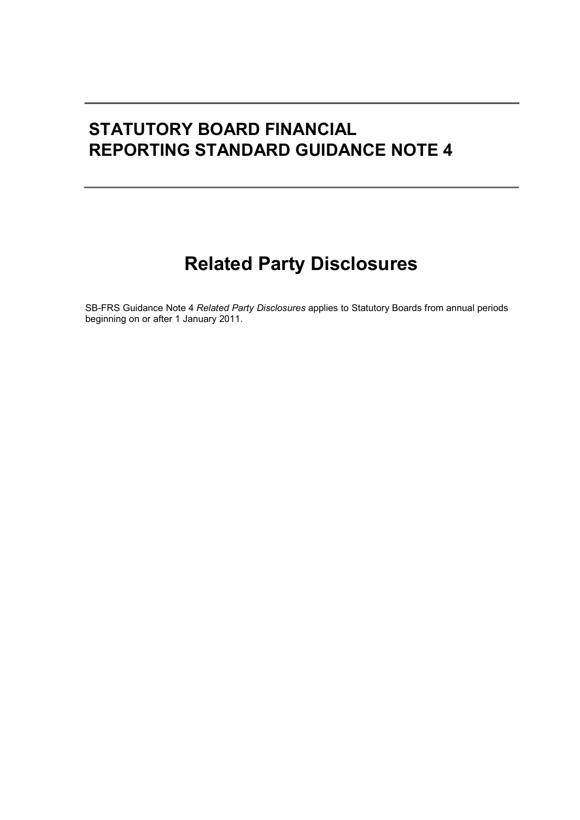# STATUTORY BOARD FINANCIAL REPORTING STANDARD GUIDANCE NOTE 4

# Related Party Disclosures

SB-FRS Guidance Note 4 Related Party Disclosures applies to Statutory Boards from annual periods beginning on or after 1 January 2011.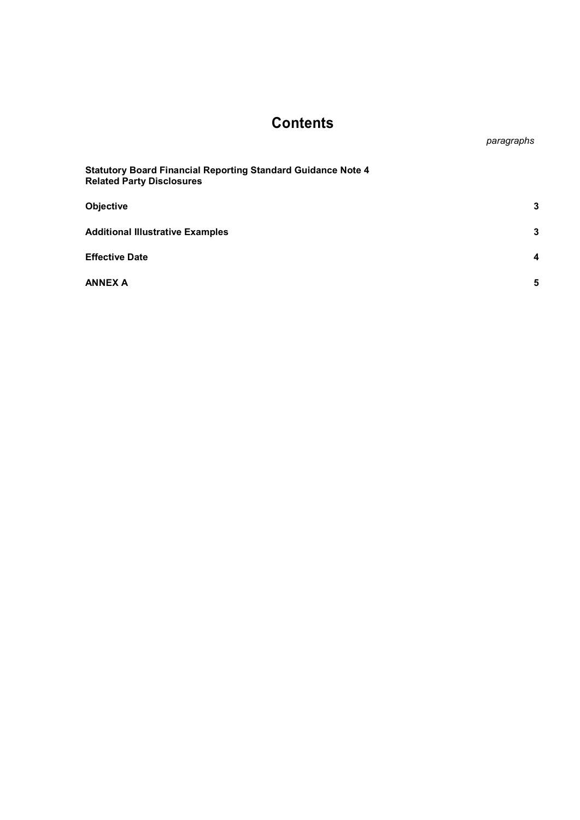## **Contents**

paragraphs

| <b>Statutory Board Financial Reporting Standard Guidance Note 4</b><br><b>Related Party Disclosures</b> |   |
|---------------------------------------------------------------------------------------------------------|---|
| Objective                                                                                               | 3 |
| <b>Additional Illustrative Examples</b>                                                                 | 3 |
| <b>Effective Date</b>                                                                                   | 4 |
| <b>ANNEX A</b>                                                                                          | 5 |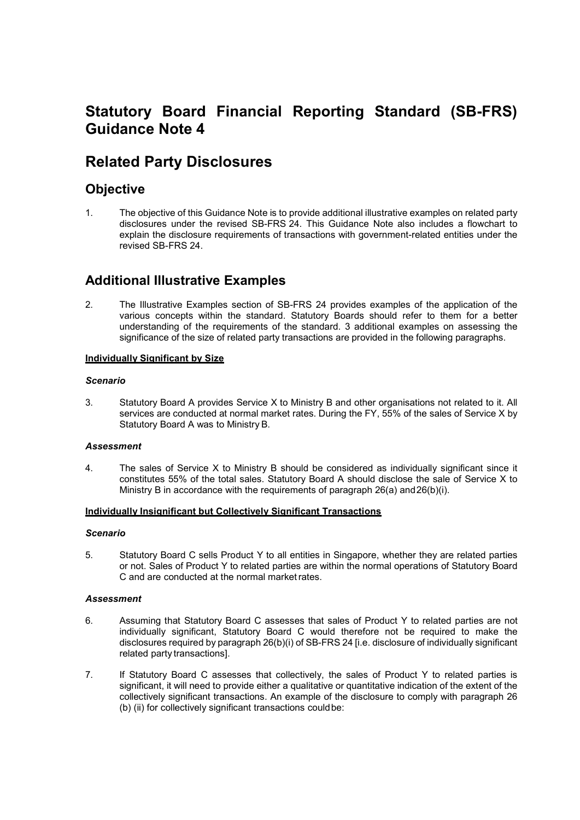## Statutory Board Financial Reporting Standard (SB-FRS) Guidance Note 4

## Related Party Disclosures

### **Objective**

1. The objective of this Guidance Note is to provide additional illustrative examples on related party disclosures under the revised SB-FRS 24. This Guidance Note also includes a flowchart to explain the disclosure requirements of transactions with government-related entities under the revised SB-FRS 24.

### Additional Illustrative Examples

2. The Illustrative Examples section of SB-FRS 24 provides examples of the application of the various concepts within the standard. Statutory Boards should refer to them for a better understanding of the requirements of the standard. 3 additional examples on assessing the significance of the size of related party transactions are provided in the following paragraphs.

#### Individually Significant by Size

#### Scenario

3. Statutory Board A provides Service X to Ministry B and other organisations not related to it. All services are conducted at normal market rates. During the FY, 55% of the sales of Service X by Statutory Board A was to Ministry B.

#### Assessment

4. The sales of Service X to Ministry B should be considered as individually significant since it constitutes 55% of the total sales. Statutory Board A should disclose the sale of Service X to Ministry B in accordance with the requirements of paragraph 26(a) and 26(b)(i).

#### Individually Insignificant but Collectively Significant Transactions

#### Scenario

5. Statutory Board C sells Product Y to all entities in Singapore, whether they are related parties or not. Sales of Product Y to related parties are within the normal operations of Statutory Board C and are conducted at the normal market rates.

#### Assessment

- 6. Assuming that Statutory Board C assesses that sales of Product Y to related parties are not individually significant, Statutory Board C would therefore not be required to make the disclosures required by paragraph 26(b)(i) of SB-FRS 24 [i.e. disclosure of individually significant related party transactions].
- 7. If Statutory Board C assesses that collectively, the sales of Product Y to related parties is significant, it will need to provide either a qualitative or quantitative indication of the extent of the collectively significant transactions. An example of the disclosure to comply with paragraph 26 (b) (ii) for collectively significant transactions could be: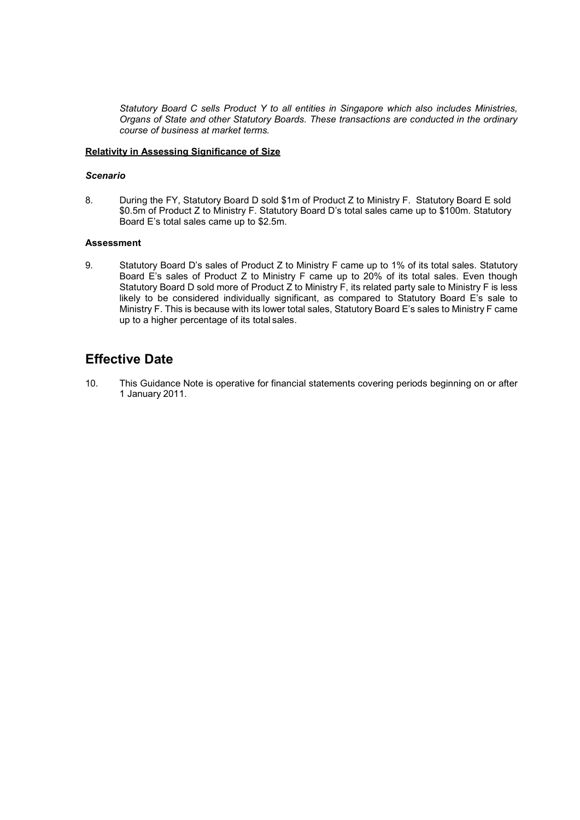Statutory Board C sells Product Y to all entities in Singapore which also includes Ministries, Organs of State and other Statutory Boards. These transactions are conducted in the ordinary course of business at market terms.

#### Relativity in Assessing Significance of Size

#### Scenario

8. During the FY, Statutory Board D sold \$1m of Product Z to Ministry F. Statutory Board E sold \$0.5m of Product Z to Ministry F. Statutory Board D's total sales came up to \$100m. Statutory Board E's total sales came up to \$2.5m.

#### **Assessment**

9. Statutory Board D's sales of Product Z to Ministry F came up to 1% of its total sales. Statutory Board E's sales of Product Z to Ministry F came up to 20% of its total sales. Even though Statutory Board D sold more of Product Z to Ministry F, its related party sale to Ministry F is less likely to be considered individually significant, as compared to Statutory Board E's sale to Ministry F. This is because with its lower total sales, Statutory Board E's sales to Ministry F came up to a higher percentage of its total sales.

### Effective Date

10. This Guidance Note is operative for financial statements covering periods beginning on or after 1 January 2011.